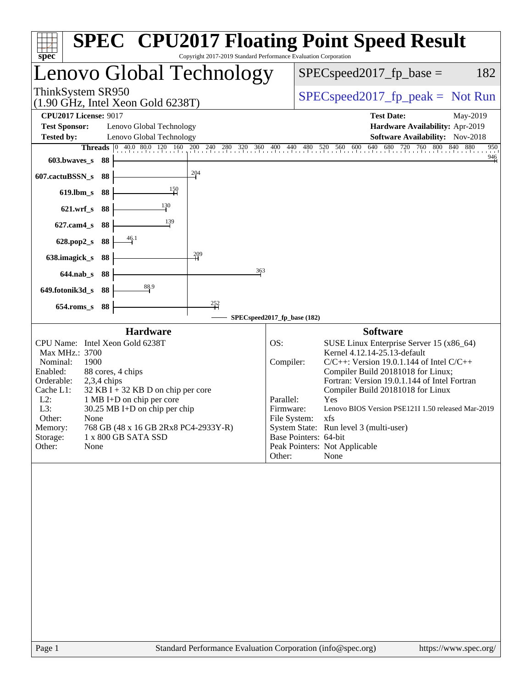| $spec^*$                                                                                                                                                                                                                                                                                                                                                                                              | Copyright 2017-2019 Standard Performance Evaluation Corporation | <b>SPEC<sup>®</sup> CPU2017 Floating Point Speed Result</b>                                                                                                                                                                                                                                                                                                                                                                                                                                                      |
|-------------------------------------------------------------------------------------------------------------------------------------------------------------------------------------------------------------------------------------------------------------------------------------------------------------------------------------------------------------------------------------------------------|-----------------------------------------------------------------|------------------------------------------------------------------------------------------------------------------------------------------------------------------------------------------------------------------------------------------------------------------------------------------------------------------------------------------------------------------------------------------------------------------------------------------------------------------------------------------------------------------|
| Lenovo Global Technology                                                                                                                                                                                                                                                                                                                                                                              |                                                                 | $SPEC speed2017fp base =$<br>182                                                                                                                                                                                                                                                                                                                                                                                                                                                                                 |
| ThinkSystem SR950<br>$(1.90 \text{ GHz}, \text{Intel Xeon Gold } 6238 \text{T})$                                                                                                                                                                                                                                                                                                                      |                                                                 | $SPEC speed2017_fp\_peak = Not Run$                                                                                                                                                                                                                                                                                                                                                                                                                                                                              |
| <b>CPU2017 License: 9017</b>                                                                                                                                                                                                                                                                                                                                                                          |                                                                 | <b>Test Date:</b><br>May-2019                                                                                                                                                                                                                                                                                                                                                                                                                                                                                    |
| <b>Test Sponsor:</b><br>Lenovo Global Technology                                                                                                                                                                                                                                                                                                                                                      |                                                                 | Hardware Availability: Apr-2019                                                                                                                                                                                                                                                                                                                                                                                                                                                                                  |
| <b>Tested by:</b><br>Lenovo Global Technology<br><b>Threads</b>                                                                                                                                                                                                                                                                                                                                       |                                                                 | Software Availability: Nov-2018<br>950                                                                                                                                                                                                                                                                                                                                                                                                                                                                           |
| 603.bwaves_s<br>-88                                                                                                                                                                                                                                                                                                                                                                                   |                                                                 | 40.0 80.0 120 160 200 240 280 320 360 400 440 480 520 560 600 640 680 720 760 800 840 880<br>$\frac{946}{9}$                                                                                                                                                                                                                                                                                                                                                                                                     |
|                                                                                                                                                                                                                                                                                                                                                                                                       | $\frac{204}{1}$                                                 |                                                                                                                                                                                                                                                                                                                                                                                                                                                                                                                  |
| 607.cactuBSSN_s<br>88                                                                                                                                                                                                                                                                                                                                                                                 |                                                                 |                                                                                                                                                                                                                                                                                                                                                                                                                                                                                                                  |
| 150<br>$619$ .lbm_s<br>88                                                                                                                                                                                                                                                                                                                                                                             |                                                                 |                                                                                                                                                                                                                                                                                                                                                                                                                                                                                                                  |
| 130<br>$621.wrf$ <sub>S</sub><br>88                                                                                                                                                                                                                                                                                                                                                                   |                                                                 |                                                                                                                                                                                                                                                                                                                                                                                                                                                                                                                  |
| 139<br>627.cam4_s<br>88                                                                                                                                                                                                                                                                                                                                                                               |                                                                 |                                                                                                                                                                                                                                                                                                                                                                                                                                                                                                                  |
| $\frac{46.1}{4}$<br>628.pop2_s<br>88                                                                                                                                                                                                                                                                                                                                                                  |                                                                 |                                                                                                                                                                                                                                                                                                                                                                                                                                                                                                                  |
| 638.imagick_s<br>88                                                                                                                                                                                                                                                                                                                                                                                   | 209                                                             |                                                                                                                                                                                                                                                                                                                                                                                                                                                                                                                  |
| $644$ .nab_s<br>88                                                                                                                                                                                                                                                                                                                                                                                    | 363                                                             |                                                                                                                                                                                                                                                                                                                                                                                                                                                                                                                  |
| 88.9<br>649.fotonik3d_s<br>88                                                                                                                                                                                                                                                                                                                                                                         |                                                                 |                                                                                                                                                                                                                                                                                                                                                                                                                                                                                                                  |
| 88<br>$654$ .roms_s                                                                                                                                                                                                                                                                                                                                                                                   | $\frac{252}{11}$                                                |                                                                                                                                                                                                                                                                                                                                                                                                                                                                                                                  |
|                                                                                                                                                                                                                                                                                                                                                                                                       | SPECspeed2017_fp_base (182)                                     |                                                                                                                                                                                                                                                                                                                                                                                                                                                                                                                  |
| <b>Hardware</b>                                                                                                                                                                                                                                                                                                                                                                                       |                                                                 | <b>Software</b>                                                                                                                                                                                                                                                                                                                                                                                                                                                                                                  |
| CPU Name: Intel Xeon Gold 6238T<br>Max MHz.: 3700<br>Nominal:<br>1900<br>Enabled:<br>88 cores, 4 chips<br>Orderable:<br>$2,3,4$ chips<br>Cache L1:<br>$32$ KB I + 32 KB D on chip per core<br>$L2$ :<br>1 MB I+D on chip per core<br>L3:<br>$30.25$ MB I+D on chip per chip<br>Other:<br>None<br>768 GB (48 x 16 GB 2Rx8 PC4-2933Y-R)<br>Memory:<br>Storage:<br>1 x 800 GB SATA SSD<br>Other:<br>None |                                                                 | OS:<br>SUSE Linux Enterprise Server 15 (x86_64)<br>Kernel 4.12.14-25.13-default<br>Compiler:<br>$C/C++$ : Version 19.0.1.144 of Intel $C/C++$<br>Compiler Build 20181018 for Linux;<br>Fortran: Version 19.0.1.144 of Intel Fortran<br>Compiler Build 20181018 for Linux<br>Parallel:<br><b>Yes</b><br>Lenovo BIOS Version PSE121I 1.50 released Mar-2019<br>Firmware:<br>File System: xfs<br>System State: Run level 3 (multi-user)<br>Base Pointers: 64-bit<br>Peak Pointers: Not Applicable<br>Other:<br>None |
|                                                                                                                                                                                                                                                                                                                                                                                                       |                                                                 |                                                                                                                                                                                                                                                                                                                                                                                                                                                                                                                  |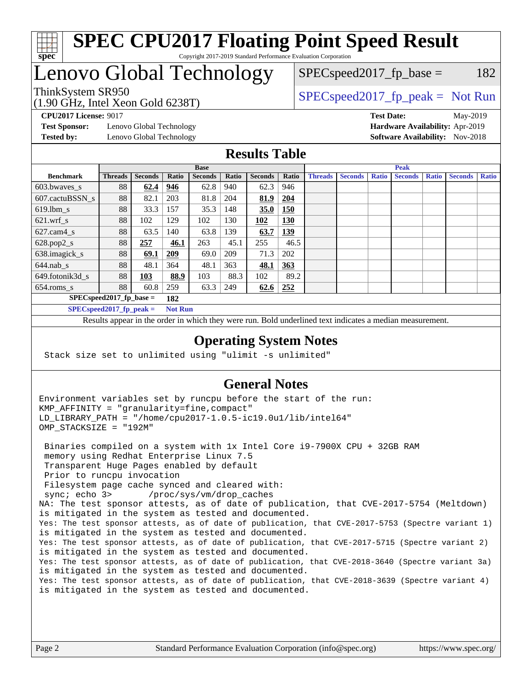

# Lenovo Global Technology

(1.90 GHz, Intel Xeon Gold 6238T)

ThinkSystem SR950<br>  $(1.00 \text{ GHz. Intel Yes} \cdot \text{Cold } 6238 \text{ T})$   $\text{SPEC speed2017\_fp\_peak} = \text{Not Run}$ 

 $SPEC speed2017_fp\_base = 182$ 

**[Test Sponsor:](http://www.spec.org/auto/cpu2017/Docs/result-fields.html#TestSponsor)** Lenovo Global Technology **[Hardware Availability:](http://www.spec.org/auto/cpu2017/Docs/result-fields.html#HardwareAvailability)** Apr-2019 **[Tested by:](http://www.spec.org/auto/cpu2017/Docs/result-fields.html#Testedby)** Lenovo Global Technology **[Software Availability:](http://www.spec.org/auto/cpu2017/Docs/result-fields.html#SoftwareAvailability)** Nov-2018

**[CPU2017 License:](http://www.spec.org/auto/cpu2017/Docs/result-fields.html#CPU2017License)** 9017 **[Test Date:](http://www.spec.org/auto/cpu2017/Docs/result-fields.html#TestDate)** May-2019

#### **[Results Table](http://www.spec.org/auto/cpu2017/Docs/result-fields.html#ResultsTable)**

|                                              | <b>Base</b>                        |                |       |                | <b>Peak</b> |                |            |                |                |              |                |              |                |              |
|----------------------------------------------|------------------------------------|----------------|-------|----------------|-------------|----------------|------------|----------------|----------------|--------------|----------------|--------------|----------------|--------------|
| <b>Benchmark</b>                             | <b>Threads</b>                     | <b>Seconds</b> | Ratio | <b>Seconds</b> | Ratio       | <b>Seconds</b> | Ratio      | <b>Threads</b> | <b>Seconds</b> | <b>Ratio</b> | <b>Seconds</b> | <b>Ratio</b> | <b>Seconds</b> | <b>Ratio</b> |
| 603.bwayes s                                 | 88                                 | 62.4           | 946   | 62.8           | 940         | 62.3           | 946        |                |                |              |                |              |                |              |
| 607.cactuBSSN s                              | 88                                 | 82.1           | 203   | 81.8           | 204         | 81.9           | 204        |                |                |              |                |              |                |              |
| $619.$ lbm_s                                 | 88                                 | 33.3           | 157   | 35.3           | 148         | 35.0           | 150        |                |                |              |                |              |                |              |
| $621.wrf$ s                                  | 88                                 | 102            | 129   | 102            | 130         | 102            | 130        |                |                |              |                |              |                |              |
| $627.cam4_s$                                 | 88                                 | 63.5           | 140   | 63.8           | 139         | 63.7           | <u>139</u> |                |                |              |                |              |                |              |
| $628.pop2_s$                                 | 88                                 | 257            | 46.1  | 263            | 45.1        | 255            | 46.5       |                |                |              |                |              |                |              |
| 638.imagick_s                                | 88                                 | 69.1           | 209   | 69.0           | 209         | 71.3           | 202        |                |                |              |                |              |                |              |
| $644$ .nab s                                 | 88                                 | 48.1           | 364   | 48.1           | 363         | 48.1           | 363        |                |                |              |                |              |                |              |
| 649.fotonik3d s                              | 88                                 | <u>103</u>     | 88.9  | 103            | 88.3        | 102            | 89.2       |                |                |              |                |              |                |              |
| $654$ .roms s                                | 88                                 | 60.8           | 259   | 63.3           | 249         | 62.6           | <u>252</u> |                |                |              |                |              |                |              |
|                                              | $SPEC speed2017_fp\_base =$<br>182 |                |       |                |             |                |            |                |                |              |                |              |                |              |
| $SPECspeed2017_fp\_peak =$<br><b>Not Run</b> |                                    |                |       |                |             |                |            |                |                |              |                |              |                |              |

Results appear in the [order in which they were run.](http://www.spec.org/auto/cpu2017/Docs/result-fields.html#RunOrder) Bold underlined text [indicates a median measurement](http://www.spec.org/auto/cpu2017/Docs/result-fields.html#Median).

#### **[Operating System Notes](http://www.spec.org/auto/cpu2017/Docs/result-fields.html#OperatingSystemNotes)**

Stack size set to unlimited using "ulimit -s unlimited"

#### **[General Notes](http://www.spec.org/auto/cpu2017/Docs/result-fields.html#GeneralNotes)**

Environment variables set by runcpu before the start of the run: KMP\_AFFINITY = "granularity=fine,compact" LD\_LIBRARY\_PATH = "/home/cpu2017-1.0.5-ic19.0u1/lib/intel64" OMP\_STACKSIZE = "192M"

 Binaries compiled on a system with 1x Intel Core i9-7900X CPU + 32GB RAM memory using Redhat Enterprise Linux 7.5 Transparent Huge Pages enabled by default Prior to runcpu invocation Filesystem page cache synced and cleared with: sync; echo 3> /proc/sys/vm/drop\_caches NA: The test sponsor attests, as of date of publication, that CVE-2017-5754 (Meltdown) is mitigated in the system as tested and documented. Yes: The test sponsor attests, as of date of publication, that CVE-2017-5753 (Spectre variant 1) is mitigated in the system as tested and documented. Yes: The test sponsor attests, as of date of publication, that CVE-2017-5715 (Spectre variant 2) is mitigated in the system as tested and documented. Yes: The test sponsor attests, as of date of publication, that CVE-2018-3640 (Spectre variant 3a) is mitigated in the system as tested and documented. Yes: The test sponsor attests, as of date of publication, that CVE-2018-3639 (Spectre variant 4) is mitigated in the system as tested and documented.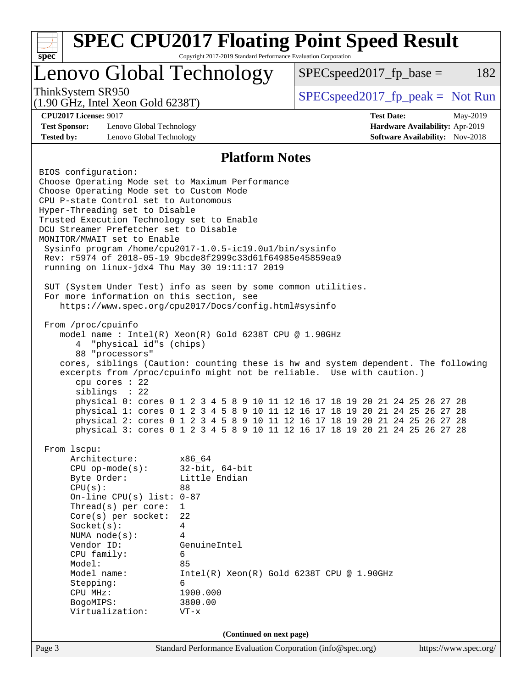| $spec^*$                                                                                                                                                                                                                                                                                                                                                                                                                                                                                         | Copyright 2017-2019 Standard Performance Evaluation Corporation                                                                                          | <b>SPEC CPU2017 Floating Point Speed Result</b>                                                                                                                                                                                                                                                                          |                                                                                       |
|--------------------------------------------------------------------------------------------------------------------------------------------------------------------------------------------------------------------------------------------------------------------------------------------------------------------------------------------------------------------------------------------------------------------------------------------------------------------------------------------------|----------------------------------------------------------------------------------------------------------------------------------------------------------|--------------------------------------------------------------------------------------------------------------------------------------------------------------------------------------------------------------------------------------------------------------------------------------------------------------------------|---------------------------------------------------------------------------------------|
| Lenovo Global Technology                                                                                                                                                                                                                                                                                                                                                                                                                                                                         |                                                                                                                                                          | $SPEC speed2017fp base =$                                                                                                                                                                                                                                                                                                | 182                                                                                   |
| ThinkSystem SR950<br>$(1.90 \text{ GHz}, \text{Intel Xeon Gold } 6238 \text{T})$                                                                                                                                                                                                                                                                                                                                                                                                                 |                                                                                                                                                          | $SPEC speed2017rfp peak = Not Run$                                                                                                                                                                                                                                                                                       |                                                                                       |
| <b>CPU2017 License: 9017</b><br><b>Test Sponsor:</b><br>Lenovo Global Technology<br><b>Tested by:</b><br>Lenovo Global Technology                                                                                                                                                                                                                                                                                                                                                                |                                                                                                                                                          | <b>Test Date:</b>                                                                                                                                                                                                                                                                                                        | May-2019<br>Hardware Availability: Apr-2019<br><b>Software Availability:</b> Nov-2018 |
|                                                                                                                                                                                                                                                                                                                                                                                                                                                                                                  | <b>Platform Notes</b>                                                                                                                                    |                                                                                                                                                                                                                                                                                                                          |                                                                                       |
| BIOS configuration:<br>Choose Operating Mode set to Maximum Performance<br>Choose Operating Mode set to Custom Mode<br>CPU P-state Control set to Autonomous<br>Hyper-Threading set to Disable<br>Trusted Execution Technology set to Enable<br>DCU Streamer Prefetcher set to Disable<br>MONITOR/MWAIT set to Enable<br>Sysinfo program /home/cpu2017-1.0.5-ic19.0ul/bin/sysinfo<br>Rev: r5974 of 2018-05-19 9bcde8f2999c33d61f64985e45859ea9<br>running on linux-jdx4 Thu May 30 19:11:17 2019 |                                                                                                                                                          |                                                                                                                                                                                                                                                                                                                          |                                                                                       |
| SUT (System Under Test) info as seen by some common utilities.<br>For more information on this section, see<br>https://www.spec.org/cpu2017/Docs/config.html#sysinfo                                                                                                                                                                                                                                                                                                                             |                                                                                                                                                          |                                                                                                                                                                                                                                                                                                                          |                                                                                       |
| From /proc/cpuinfo<br>model name: $Intel(R)$ Xeon(R) Gold 6238T CPU @ 1.90GHz<br>"physical id"s (chips)<br>4<br>88 "processors"<br>cores, siblings (Caution: counting these is hw and system dependent. The following<br>excerpts from /proc/cpuinfo might not be reliable. Use with caution.)<br>cpu cores : 22<br>siblings : 22                                                                                                                                                                |                                                                                                                                                          | physical 0: cores 0 1 2 3 4 5 8 9 10 11 12 16 17 18 19 20 21 24 25 26 27 28<br>physical 1: cores 0 1 2 3 4 5 8 9 10 11 12 16 17 18 19 20 21 24 25 26 27 28<br>physical 2: cores 0 1 2 3 4 5 8 9 10 11 12 16 17 18 19 20 21 24 25 26 27 28<br>physical 3: cores 0 1 2 3 4 5 8 9 10 11 12 16 17 18 19 20 21 24 25 26 27 28 |                                                                                       |
| From lscpu:<br>Architecture:<br>$CPU$ op-mode( $s$ ):<br>Byte Order:<br>CPU(s):<br>On-line CPU(s) list: $0-87$<br>Thread(s) per core:<br>Core(s) per socket:<br>Socket(s):<br>NUMA node(s):<br>Vendor ID:<br>CPU family:<br>Model:<br>Model name:<br>Stepping:<br>CPU MHz:<br>BogoMIPS:<br>Virtualization:                                                                                                                                                                                       | x86_64<br>$32$ -bit, $64$ -bit<br>Little Endian<br>88<br>$\mathbf{1}$<br>22<br>4<br>4<br>GenuineIntel<br>6<br>85<br>6<br>1900.000<br>3800.00<br>$VT - x$ | $Intel(R) Xeon(R) Gold 6238T CPU @ 1.90GHz$                                                                                                                                                                                                                                                                              |                                                                                       |
|                                                                                                                                                                                                                                                                                                                                                                                                                                                                                                  | (Continued on next page)                                                                                                                                 |                                                                                                                                                                                                                                                                                                                          |                                                                                       |
| Page 3                                                                                                                                                                                                                                                                                                                                                                                                                                                                                           | Standard Performance Evaluation Corporation (info@spec.org)                                                                                              |                                                                                                                                                                                                                                                                                                                          | https://www.spec.org/                                                                 |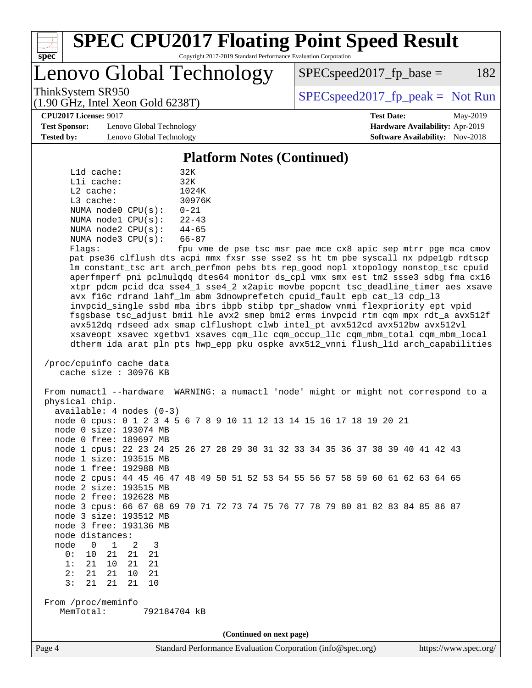

Lenovo Global Technology

 $SPEC speed2017_fp\_base = 182$ 

(1.90 GHz, Intel Xeon Gold 6238T)

ThinkSystem SR950<br>  $(1.00 \text{ GHz. Intel Yes} \cdot \text{Cold } 6238 \text{ T})$   $\text{SPEC speed2017\_fp\_peak} = \text{Not Run}$ 

**[Test Sponsor:](http://www.spec.org/auto/cpu2017/Docs/result-fields.html#TestSponsor)** Lenovo Global Technology **[Hardware Availability:](http://www.spec.org/auto/cpu2017/Docs/result-fields.html#HardwareAvailability)** Apr-2019 **[Tested by:](http://www.spec.org/auto/cpu2017/Docs/result-fields.html#Testedby)** Lenovo Global Technology **[Software Availability:](http://www.spec.org/auto/cpu2017/Docs/result-fields.html#SoftwareAvailability)** Nov-2018

**[CPU2017 License:](http://www.spec.org/auto/cpu2017/Docs/result-fields.html#CPU2017License)** 9017 **[Test Date:](http://www.spec.org/auto/cpu2017/Docs/result-fields.html#TestDate)** May-2019

#### **[Platform Notes \(Continued\)](http://www.spec.org/auto/cpu2017/Docs/result-fields.html#PlatformNotes)**

| L1d cache:  |                         | 32K       |
|-------------|-------------------------|-----------|
| Lli cache:  |                         | 32K       |
| $L2$ cache: |                         | 1024K     |
| $L3$ cache: |                         | 30976K    |
|             | NUMA node0 CPU(s):      | $0 - 21$  |
|             | NUMA nodel CPU(s):      | $22 - 43$ |
|             | NUMA $node2$ $CPU(s)$ : | $44 - 65$ |
|             | NUMA $node3$ $CPU(s)$ : | $66 - 87$ |
|             |                         |           |

Flags: fpu vme de pse tsc msr pae mce cx8 apic sep mtrr pge mca cmov pat pse36 clflush dts acpi mmx fxsr sse sse2 ss ht tm pbe syscall nx pdpe1gb rdtscp lm constant\_tsc art arch\_perfmon pebs bts rep\_good nopl xtopology nonstop\_tsc cpuid aperfmperf pni pclmulqdq dtes64 monitor ds\_cpl vmx smx est tm2 ssse3 sdbg fma cx16 xtpr pdcm pcid dca sse4\_1 sse4\_2 x2apic movbe popcnt tsc\_deadline\_timer aes xsave avx f16c rdrand lahf\_lm abm 3dnowprefetch cpuid\_fault epb cat\_l3 cdp\_l3 invpcid\_single ssbd mba ibrs ibpb stibp tpr\_shadow vnmi flexpriority ept vpid fsgsbase tsc\_adjust bmi1 hle avx2 smep bmi2 erms invpcid rtm cqm mpx rdt\_a avx512f avx512dq rdseed adx smap clflushopt clwb intel\_pt avx512cd avx512bw avx512vl xsaveopt xsavec xgetbv1 xsaves cqm\_llc cqm\_occup\_llc cqm\_mbm\_total cqm\_mbm\_local dtherm ida arat pln pts hwp\_epp pku ospke avx512\_vnni flush\_l1d arch\_capabilities

```
 /proc/cpuinfo cache data
cache size : 30976 KB
```
 From numactl --hardware WARNING: a numactl 'node' might or might not correspond to a physical chip. available: 4 nodes (0-3) node 0 cpus: 0 1 2 3 4 5 6 7 8 9 10 11 12 13 14 15 16 17 18 19 20 21 node 0 size: 193074 MB node 0 free: 189697 MB node 1 cpus: 22 23 24 25 26 27 28 29 30 31 32 33 34 35 36 37 38 39 40 41 42 43 node 1 size: 193515 MB node 1 free: 192988 MB node 2 cpus: 44 45 46 47 48 49 50 51 52 53 54 55 56 57 58 59 60 61 62 63 64 65 node 2 size: 193515 MB node 2 free: 192628 MB node 3 cpus: 66 67 68 69 70 71 72 73 74 75 76 77 78 79 80 81 82 83 84 85 86 87 node 3 size: 193512 MB node 3 free: 193136 MB node distances: node 0 1 2 3 0: 10 21 21 21 1: 21 10 21 21 2: 21 21 10 21 3: 21 21 21 10 From /proc/meminfo MemTotal: 792184704 kB **(Continued on next page)**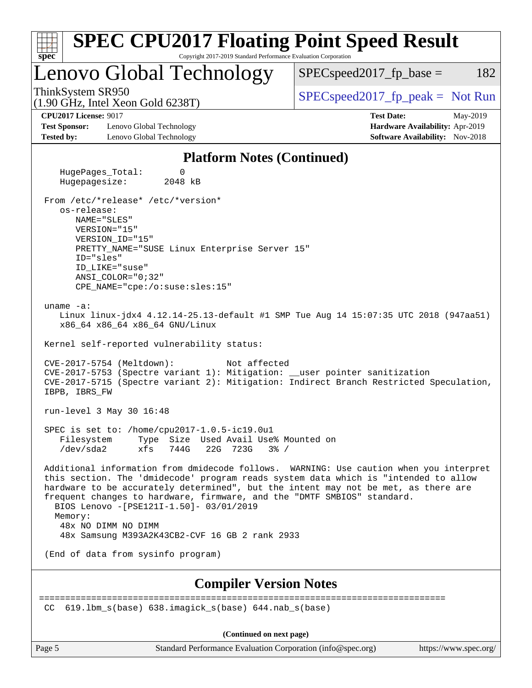| <b>SPEC CPU2017 Floating Point Speed Result</b><br>$spec^*$<br>Copyright 2017-2019 Standard Performance Evaluation Corporation                                                                                                                                                                                                                                                                                                                                                |                                                                                                     |
|-------------------------------------------------------------------------------------------------------------------------------------------------------------------------------------------------------------------------------------------------------------------------------------------------------------------------------------------------------------------------------------------------------------------------------------------------------------------------------|-----------------------------------------------------------------------------------------------------|
| Lenovo Global Technology                                                                                                                                                                                                                                                                                                                                                                                                                                                      | $SPEC speed2017_fp\_base =$<br>182                                                                  |
| ThinkSystem SR950<br>$(1.90 \text{ GHz}, \text{Intel Xeon Gold } 6238 \text{T})$                                                                                                                                                                                                                                                                                                                                                                                              | $SPEC speed2017rfp peak = Not Run$                                                                  |
| <b>CPU2017 License: 9017</b><br><b>Test Sponsor:</b><br>Lenovo Global Technology<br><b>Tested by:</b><br>Lenovo Global Technology                                                                                                                                                                                                                                                                                                                                             | <b>Test Date:</b><br>May-2019<br>Hardware Availability: Apr-2019<br>Software Availability: Nov-2018 |
| <b>Platform Notes (Continued)</b>                                                                                                                                                                                                                                                                                                                                                                                                                                             |                                                                                                     |
| HugePages_Total:<br>0<br>Hugepagesize:<br>2048 kB                                                                                                                                                                                                                                                                                                                                                                                                                             |                                                                                                     |
| From /etc/*release* /etc/*version*<br>os-release:<br>NAME="SLES"<br>VERSION="15"<br>VERSION_ID="15"<br>PRETTY_NAME="SUSE Linux Enterprise Server 15"<br>ID="sles"<br>ID LIKE="suse"<br>ANSI COLOR="0;32"<br>CPE_NAME="cpe:/o:suse:sles:15"                                                                                                                                                                                                                                    |                                                                                                     |
| uname $-a$ :<br>Linux linux-jdx4 4.12.14-25.13-default #1 SMP Tue Aug 14 15:07:35 UTC 2018 (947aa51)<br>x86_64 x86_64 x86_64 GNU/Linux                                                                                                                                                                                                                                                                                                                                        |                                                                                                     |
| Kernel self-reported vulnerability status:<br>CVE-2017-5754 (Meltdown):<br>Not affected<br>CVE-2017-5753 (Spectre variant 1): Mitigation: __user pointer sanitization<br>CVE-2017-5715 (Spectre variant 2): Mitigation: Indirect Branch Restricted Speculation,<br>IBPB, IBRS_FW                                                                                                                                                                                              |                                                                                                     |
| run-level 3 May 30 16:48                                                                                                                                                                                                                                                                                                                                                                                                                                                      |                                                                                                     |
| SPEC is set to: /home/cpu2017-1.0.5-ic19.0u1<br>Filesystem<br>Type Size Used Avail Use% Mounted on<br>/dev/sda2<br>xfs<br>744G<br>22G 723G<br>$3\frac{6}{9}$ /                                                                                                                                                                                                                                                                                                                |                                                                                                     |
| Additional information from dmidecode follows. WARNING: Use caution when you interpret<br>this section. The 'dmidecode' program reads system data which is "intended to allow<br>hardware to be accurately determined", but the intent may not be met, as there are<br>frequent changes to hardware, firmware, and the "DMTF SMBIOS" standard.<br>BIOS Lenovo -[PSE121I-1.50]- 03/01/2019<br>Memory:<br>48x NO DIMM NO DIMM<br>48x Samsung M393A2K43CB2-CVF 16 GB 2 rank 2933 |                                                                                                     |
| (End of data from sysinfo program)                                                                                                                                                                                                                                                                                                                                                                                                                                            |                                                                                                     |
| <b>Compiler Version Notes</b>                                                                                                                                                                                                                                                                                                                                                                                                                                                 |                                                                                                     |
| 619.1bm $s(base)$ 638.imagick $s(base)$ 644.nab $s(base)$<br>CC.                                                                                                                                                                                                                                                                                                                                                                                                              |                                                                                                     |
| (Continued on next page)                                                                                                                                                                                                                                                                                                                                                                                                                                                      |                                                                                                     |

Page 5 Standard Performance Evaluation Corporation [\(info@spec.org\)](mailto:info@spec.org) <https://www.spec.org/>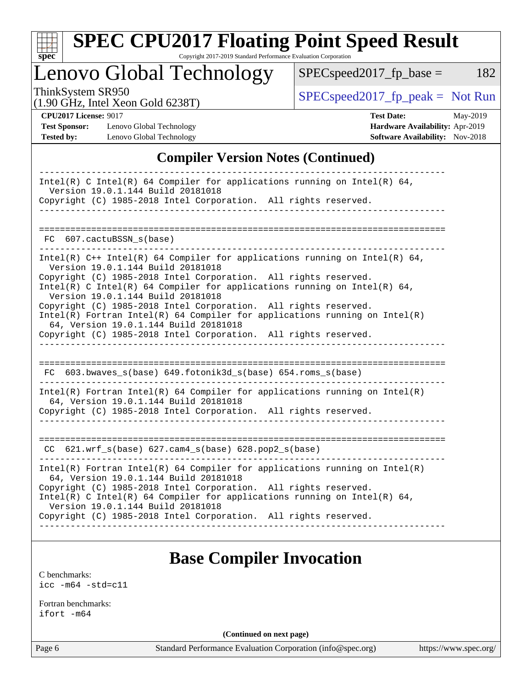

# **[SPEC CPU2017 Floating Point Speed Result](http://www.spec.org/auto/cpu2017/Docs/result-fields.html#SPECCPU2017FloatingPointSpeedResult)**

Copyright 2017-2019 Standard Performance Evaluation Corporation

Lenovo Global Technology

 $SPEC speed2017_fp\_peak = Not Run$ 

 $SPEC speed2017_fp\_base = 182$ 

(1.90 GHz, Intel Xeon Gold 6238T)

**[CPU2017 License:](http://www.spec.org/auto/cpu2017/Docs/result-fields.html#CPU2017License)** 9017 **[Test Date:](http://www.spec.org/auto/cpu2017/Docs/result-fields.html#TestDate)** May-2019

**[Test Sponsor:](http://www.spec.org/auto/cpu2017/Docs/result-fields.html#TestSponsor)** Lenovo Global Technology **[Hardware Availability:](http://www.spec.org/auto/cpu2017/Docs/result-fields.html#HardwareAvailability)** Apr-2019 **[Tested by:](http://www.spec.org/auto/cpu2017/Docs/result-fields.html#Testedby)** Lenovo Global Technology **[Software Availability:](http://www.spec.org/auto/cpu2017/Docs/result-fields.html#SoftwareAvailability)** Nov-2018

### **[Compiler Version Notes \(Continued\)](http://www.spec.org/auto/cpu2017/Docs/result-fields.html#CompilerVersionNotes)**

| Intel(R) C Intel(R) 64 Compiler for applications running on Intel(R) 64,<br>Version 19.0.1.144 Build 20181018<br>Copyright (C) 1985-2018 Intel Corporation. All rights reserved.                                                                                                                                                                                                                                                                                                                                                                                     |
|----------------------------------------------------------------------------------------------------------------------------------------------------------------------------------------------------------------------------------------------------------------------------------------------------------------------------------------------------------------------------------------------------------------------------------------------------------------------------------------------------------------------------------------------------------------------|
|                                                                                                                                                                                                                                                                                                                                                                                                                                                                                                                                                                      |
|                                                                                                                                                                                                                                                                                                                                                                                                                                                                                                                                                                      |
| FC 607.cactuBSSN_s(base)                                                                                                                                                                                                                                                                                                                                                                                                                                                                                                                                             |
| Intel(R) $C++$ Intel(R) 64 Compiler for applications running on Intel(R) 64,<br>Version 19.0.1.144 Build 20181018<br>Copyright (C) 1985-2018 Intel Corporation. All rights reserved.<br>Intel(R) C Intel(R) 64 Compiler for applications running on Intel(R) 64,<br>Version 19.0.1.144 Build 20181018<br>Copyright (C) 1985-2018 Intel Corporation. All rights reserved.<br>$Intel(R)$ Fortran Intel(R) 64 Compiler for applications running on Intel(R)<br>64, Version 19.0.1.144 Build 20181018<br>Copyright (C) 1985-2018 Intel Corporation. All rights reserved. |
|                                                                                                                                                                                                                                                                                                                                                                                                                                                                                                                                                                      |
| FC 603.bwaves_s(base) 649.fotonik3d_s(base) 654.roms_s(base)                                                                                                                                                                                                                                                                                                                                                                                                                                                                                                         |
| $Intel(R)$ Fortran Intel(R) 64 Compiler for applications running on Intel(R)<br>64, Version 19.0.1.144 Build 20181018                                                                                                                                                                                                                                                                                                                                                                                                                                                |
| Copyright (C) 1985-2018 Intel Corporation. All rights reserved.                                                                                                                                                                                                                                                                                                                                                                                                                                                                                                      |
|                                                                                                                                                                                                                                                                                                                                                                                                                                                                                                                                                                      |
| $CC$ 621.wrf $s(base)$ 627.cam $4_s(base)$ 628.pop2 $s(base)$                                                                                                                                                                                                                                                                                                                                                                                                                                                                                                        |
| $Intel(R)$ Fortran Intel(R) 64 Compiler for applications running on Intel(R)<br>64, Version 19.0.1.144 Build 20181018<br>Copyright (C) 1985-2018 Intel Corporation. All rights reserved.                                                                                                                                                                                                                                                                                                                                                                             |
| Intel(R) C Intel(R) 64 Compiler for applications running on Intel(R) 64,<br>Version 19.0.1.144 Build 20181018                                                                                                                                                                                                                                                                                                                                                                                                                                                        |
| Copyright (C) 1985-2018 Intel Corporation. All rights reserved.                                                                                                                                                                                                                                                                                                                                                                                                                                                                                                      |
|                                                                                                                                                                                                                                                                                                                                                                                                                                                                                                                                                                      |

# **[Base Compiler Invocation](http://www.spec.org/auto/cpu2017/Docs/result-fields.html#BaseCompilerInvocation)**

[C benchmarks](http://www.spec.org/auto/cpu2017/Docs/result-fields.html#Cbenchmarks): [icc -m64 -std=c11](http://www.spec.org/cpu2017/results/res2019q3/cpu2017-20190624-15552.flags.html#user_CCbase_intel_icc_64bit_c11_33ee0cdaae7deeeab2a9725423ba97205ce30f63b9926c2519791662299b76a0318f32ddfffdc46587804de3178b4f9328c46fa7c2b0cd779d7a61945c91cd35)

[Fortran benchmarks](http://www.spec.org/auto/cpu2017/Docs/result-fields.html#Fortranbenchmarks): [ifort -m64](http://www.spec.org/cpu2017/results/res2019q3/cpu2017-20190624-15552.flags.html#user_FCbase_intel_ifort_64bit_24f2bb282fbaeffd6157abe4f878425411749daecae9a33200eee2bee2fe76f3b89351d69a8130dd5949958ce389cf37ff59a95e7a40d588e8d3a57e0c3fd751)

**(Continued on next page)**

Page 6 Standard Performance Evaluation Corporation [\(info@spec.org\)](mailto:info@spec.org) <https://www.spec.org/>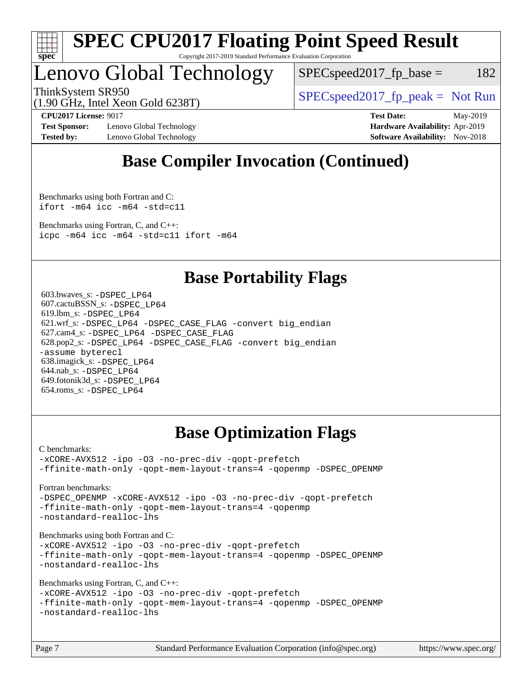

Lenovo Global Technology

 $SPEC speed2017_fp\_base = 182$ 

ThinkSystem SR950<br>  $(1.00 \text{ GHz. Intel Yes} \cdot \text{Cold } 6238 \text{ T})$   $SPEC speed2017\_fp\_peak = Not Run$ 

(1.90 GHz, Intel Xeon Gold 6238T)

**[Test Sponsor:](http://www.spec.org/auto/cpu2017/Docs/result-fields.html#TestSponsor)** Lenovo Global Technology **[Hardware Availability:](http://www.spec.org/auto/cpu2017/Docs/result-fields.html#HardwareAvailability)** Apr-2019 **[Tested by:](http://www.spec.org/auto/cpu2017/Docs/result-fields.html#Testedby)** Lenovo Global Technology **[Software Availability:](http://www.spec.org/auto/cpu2017/Docs/result-fields.html#SoftwareAvailability)** Nov-2018

**[CPU2017 License:](http://www.spec.org/auto/cpu2017/Docs/result-fields.html#CPU2017License)** 9017 **[Test Date:](http://www.spec.org/auto/cpu2017/Docs/result-fields.html#TestDate)** May-2019

# **[Base Compiler Invocation \(Continued\)](http://www.spec.org/auto/cpu2017/Docs/result-fields.html#BaseCompilerInvocation)**

[Benchmarks using both Fortran and C](http://www.spec.org/auto/cpu2017/Docs/result-fields.html#BenchmarksusingbothFortranandC): [ifort -m64](http://www.spec.org/cpu2017/results/res2019q3/cpu2017-20190624-15552.flags.html#user_CC_FCbase_intel_ifort_64bit_24f2bb282fbaeffd6157abe4f878425411749daecae9a33200eee2bee2fe76f3b89351d69a8130dd5949958ce389cf37ff59a95e7a40d588e8d3a57e0c3fd751) [icc -m64 -std=c11](http://www.spec.org/cpu2017/results/res2019q3/cpu2017-20190624-15552.flags.html#user_CC_FCbase_intel_icc_64bit_c11_33ee0cdaae7deeeab2a9725423ba97205ce30f63b9926c2519791662299b76a0318f32ddfffdc46587804de3178b4f9328c46fa7c2b0cd779d7a61945c91cd35)

[Benchmarks using Fortran, C, and C++:](http://www.spec.org/auto/cpu2017/Docs/result-fields.html#BenchmarksusingFortranCandCXX) [icpc -m64](http://www.spec.org/cpu2017/results/res2019q3/cpu2017-20190624-15552.flags.html#user_CC_CXX_FCbase_intel_icpc_64bit_4ecb2543ae3f1412ef961e0650ca070fec7b7afdcd6ed48761b84423119d1bf6bdf5cad15b44d48e7256388bc77273b966e5eb805aefd121eb22e9299b2ec9d9) [icc -m64 -std=c11](http://www.spec.org/cpu2017/results/res2019q3/cpu2017-20190624-15552.flags.html#user_CC_CXX_FCbase_intel_icc_64bit_c11_33ee0cdaae7deeeab2a9725423ba97205ce30f63b9926c2519791662299b76a0318f32ddfffdc46587804de3178b4f9328c46fa7c2b0cd779d7a61945c91cd35) [ifort -m64](http://www.spec.org/cpu2017/results/res2019q3/cpu2017-20190624-15552.flags.html#user_CC_CXX_FCbase_intel_ifort_64bit_24f2bb282fbaeffd6157abe4f878425411749daecae9a33200eee2bee2fe76f3b89351d69a8130dd5949958ce389cf37ff59a95e7a40d588e8d3a57e0c3fd751)

## **[Base Portability Flags](http://www.spec.org/auto/cpu2017/Docs/result-fields.html#BasePortabilityFlags)**

 603.bwaves\_s: [-DSPEC\\_LP64](http://www.spec.org/cpu2017/results/res2019q3/cpu2017-20190624-15552.flags.html#suite_basePORTABILITY603_bwaves_s_DSPEC_LP64) 607.cactuBSSN\_s: [-DSPEC\\_LP64](http://www.spec.org/cpu2017/results/res2019q3/cpu2017-20190624-15552.flags.html#suite_basePORTABILITY607_cactuBSSN_s_DSPEC_LP64) 619.lbm\_s: [-DSPEC\\_LP64](http://www.spec.org/cpu2017/results/res2019q3/cpu2017-20190624-15552.flags.html#suite_basePORTABILITY619_lbm_s_DSPEC_LP64) 621.wrf\_s: [-DSPEC\\_LP64](http://www.spec.org/cpu2017/results/res2019q3/cpu2017-20190624-15552.flags.html#suite_basePORTABILITY621_wrf_s_DSPEC_LP64) [-DSPEC\\_CASE\\_FLAG](http://www.spec.org/cpu2017/results/res2019q3/cpu2017-20190624-15552.flags.html#b621.wrf_s_baseCPORTABILITY_DSPEC_CASE_FLAG) [-convert big\\_endian](http://www.spec.org/cpu2017/results/res2019q3/cpu2017-20190624-15552.flags.html#user_baseFPORTABILITY621_wrf_s_convert_big_endian_c3194028bc08c63ac5d04de18c48ce6d347e4e562e8892b8bdbdc0214820426deb8554edfa529a3fb25a586e65a3d812c835984020483e7e73212c4d31a38223) 627.cam4\_s: [-DSPEC\\_LP64](http://www.spec.org/cpu2017/results/res2019q3/cpu2017-20190624-15552.flags.html#suite_basePORTABILITY627_cam4_s_DSPEC_LP64) [-DSPEC\\_CASE\\_FLAG](http://www.spec.org/cpu2017/results/res2019q3/cpu2017-20190624-15552.flags.html#b627.cam4_s_baseCPORTABILITY_DSPEC_CASE_FLAG) 628.pop2\_s: [-DSPEC\\_LP64](http://www.spec.org/cpu2017/results/res2019q3/cpu2017-20190624-15552.flags.html#suite_basePORTABILITY628_pop2_s_DSPEC_LP64) [-DSPEC\\_CASE\\_FLAG](http://www.spec.org/cpu2017/results/res2019q3/cpu2017-20190624-15552.flags.html#b628.pop2_s_baseCPORTABILITY_DSPEC_CASE_FLAG) [-convert big\\_endian](http://www.spec.org/cpu2017/results/res2019q3/cpu2017-20190624-15552.flags.html#user_baseFPORTABILITY628_pop2_s_convert_big_endian_c3194028bc08c63ac5d04de18c48ce6d347e4e562e8892b8bdbdc0214820426deb8554edfa529a3fb25a586e65a3d812c835984020483e7e73212c4d31a38223) [-assume byterecl](http://www.spec.org/cpu2017/results/res2019q3/cpu2017-20190624-15552.flags.html#user_baseFPORTABILITY628_pop2_s_assume_byterecl_7e47d18b9513cf18525430bbf0f2177aa9bf368bc7a059c09b2c06a34b53bd3447c950d3f8d6c70e3faf3a05c8557d66a5798b567902e8849adc142926523472) 638.imagick\_s: [-DSPEC\\_LP64](http://www.spec.org/cpu2017/results/res2019q3/cpu2017-20190624-15552.flags.html#suite_basePORTABILITY638_imagick_s_DSPEC_LP64) 644.nab\_s: [-DSPEC\\_LP64](http://www.spec.org/cpu2017/results/res2019q3/cpu2017-20190624-15552.flags.html#suite_basePORTABILITY644_nab_s_DSPEC_LP64) 649.fotonik3d\_s: [-DSPEC\\_LP64](http://www.spec.org/cpu2017/results/res2019q3/cpu2017-20190624-15552.flags.html#suite_basePORTABILITY649_fotonik3d_s_DSPEC_LP64) 654.roms\_s: [-DSPEC\\_LP64](http://www.spec.org/cpu2017/results/res2019q3/cpu2017-20190624-15552.flags.html#suite_basePORTABILITY654_roms_s_DSPEC_LP64)

# **[Base Optimization Flags](http://www.spec.org/auto/cpu2017/Docs/result-fields.html#BaseOptimizationFlags)**

[C benchmarks](http://www.spec.org/auto/cpu2017/Docs/result-fields.html#Cbenchmarks):

[-xCORE-AVX512](http://www.spec.org/cpu2017/results/res2019q3/cpu2017-20190624-15552.flags.html#user_CCbase_f-xCORE-AVX512) [-ipo](http://www.spec.org/cpu2017/results/res2019q3/cpu2017-20190624-15552.flags.html#user_CCbase_f-ipo) [-O3](http://www.spec.org/cpu2017/results/res2019q3/cpu2017-20190624-15552.flags.html#user_CCbase_f-O3) [-no-prec-div](http://www.spec.org/cpu2017/results/res2019q3/cpu2017-20190624-15552.flags.html#user_CCbase_f-no-prec-div) [-qopt-prefetch](http://www.spec.org/cpu2017/results/res2019q3/cpu2017-20190624-15552.flags.html#user_CCbase_f-qopt-prefetch) [-ffinite-math-only](http://www.spec.org/cpu2017/results/res2019q3/cpu2017-20190624-15552.flags.html#user_CCbase_f_finite_math_only_cb91587bd2077682c4b38af759c288ed7c732db004271a9512da14a4f8007909a5f1427ecbf1a0fb78ff2a814402c6114ac565ca162485bbcae155b5e4258871) [-qopt-mem-layout-trans=4](http://www.spec.org/cpu2017/results/res2019q3/cpu2017-20190624-15552.flags.html#user_CCbase_f-qopt-mem-layout-trans_fa39e755916c150a61361b7846f310bcdf6f04e385ef281cadf3647acec3f0ae266d1a1d22d972a7087a248fd4e6ca390a3634700869573d231a252c784941a8) [-qopenmp](http://www.spec.org/cpu2017/results/res2019q3/cpu2017-20190624-15552.flags.html#user_CCbase_qopenmp_16be0c44f24f464004c6784a7acb94aca937f053568ce72f94b139a11c7c168634a55f6653758ddd83bcf7b8463e8028bb0b48b77bcddc6b78d5d95bb1df2967) [-DSPEC\\_OPENMP](http://www.spec.org/cpu2017/results/res2019q3/cpu2017-20190624-15552.flags.html#suite_CCbase_DSPEC_OPENMP)

[Fortran benchmarks](http://www.spec.org/auto/cpu2017/Docs/result-fields.html#Fortranbenchmarks):

[-DSPEC\\_OPENMP](http://www.spec.org/cpu2017/results/res2019q3/cpu2017-20190624-15552.flags.html#suite_FCbase_DSPEC_OPENMP) [-xCORE-AVX512](http://www.spec.org/cpu2017/results/res2019q3/cpu2017-20190624-15552.flags.html#user_FCbase_f-xCORE-AVX512) [-ipo](http://www.spec.org/cpu2017/results/res2019q3/cpu2017-20190624-15552.flags.html#user_FCbase_f-ipo) [-O3](http://www.spec.org/cpu2017/results/res2019q3/cpu2017-20190624-15552.flags.html#user_FCbase_f-O3) [-no-prec-div](http://www.spec.org/cpu2017/results/res2019q3/cpu2017-20190624-15552.flags.html#user_FCbase_f-no-prec-div) [-qopt-prefetch](http://www.spec.org/cpu2017/results/res2019q3/cpu2017-20190624-15552.flags.html#user_FCbase_f-qopt-prefetch) [-ffinite-math-only](http://www.spec.org/cpu2017/results/res2019q3/cpu2017-20190624-15552.flags.html#user_FCbase_f_finite_math_only_cb91587bd2077682c4b38af759c288ed7c732db004271a9512da14a4f8007909a5f1427ecbf1a0fb78ff2a814402c6114ac565ca162485bbcae155b5e4258871) [-qopt-mem-layout-trans=4](http://www.spec.org/cpu2017/results/res2019q3/cpu2017-20190624-15552.flags.html#user_FCbase_f-qopt-mem-layout-trans_fa39e755916c150a61361b7846f310bcdf6f04e385ef281cadf3647acec3f0ae266d1a1d22d972a7087a248fd4e6ca390a3634700869573d231a252c784941a8) [-qopenmp](http://www.spec.org/cpu2017/results/res2019q3/cpu2017-20190624-15552.flags.html#user_FCbase_qopenmp_16be0c44f24f464004c6784a7acb94aca937f053568ce72f94b139a11c7c168634a55f6653758ddd83bcf7b8463e8028bb0b48b77bcddc6b78d5d95bb1df2967) [-nostandard-realloc-lhs](http://www.spec.org/cpu2017/results/res2019q3/cpu2017-20190624-15552.flags.html#user_FCbase_f_2003_std_realloc_82b4557e90729c0f113870c07e44d33d6f5a304b4f63d4c15d2d0f1fab99f5daaed73bdb9275d9ae411527f28b936061aa8b9c8f2d63842963b95c9dd6426b8a)

[Benchmarks using both Fortran and C](http://www.spec.org/auto/cpu2017/Docs/result-fields.html#BenchmarksusingbothFortranandC):

[-xCORE-AVX512](http://www.spec.org/cpu2017/results/res2019q3/cpu2017-20190624-15552.flags.html#user_CC_FCbase_f-xCORE-AVX512) [-ipo](http://www.spec.org/cpu2017/results/res2019q3/cpu2017-20190624-15552.flags.html#user_CC_FCbase_f-ipo) [-O3](http://www.spec.org/cpu2017/results/res2019q3/cpu2017-20190624-15552.flags.html#user_CC_FCbase_f-O3) [-no-prec-div](http://www.spec.org/cpu2017/results/res2019q3/cpu2017-20190624-15552.flags.html#user_CC_FCbase_f-no-prec-div) [-qopt-prefetch](http://www.spec.org/cpu2017/results/res2019q3/cpu2017-20190624-15552.flags.html#user_CC_FCbase_f-qopt-prefetch) [-ffinite-math-only](http://www.spec.org/cpu2017/results/res2019q3/cpu2017-20190624-15552.flags.html#user_CC_FCbase_f_finite_math_only_cb91587bd2077682c4b38af759c288ed7c732db004271a9512da14a4f8007909a5f1427ecbf1a0fb78ff2a814402c6114ac565ca162485bbcae155b5e4258871) [-qopt-mem-layout-trans=4](http://www.spec.org/cpu2017/results/res2019q3/cpu2017-20190624-15552.flags.html#user_CC_FCbase_f-qopt-mem-layout-trans_fa39e755916c150a61361b7846f310bcdf6f04e385ef281cadf3647acec3f0ae266d1a1d22d972a7087a248fd4e6ca390a3634700869573d231a252c784941a8) [-qopenmp](http://www.spec.org/cpu2017/results/res2019q3/cpu2017-20190624-15552.flags.html#user_CC_FCbase_qopenmp_16be0c44f24f464004c6784a7acb94aca937f053568ce72f94b139a11c7c168634a55f6653758ddd83bcf7b8463e8028bb0b48b77bcddc6b78d5d95bb1df2967) [-DSPEC\\_OPENMP](http://www.spec.org/cpu2017/results/res2019q3/cpu2017-20190624-15552.flags.html#suite_CC_FCbase_DSPEC_OPENMP) [-nostandard-realloc-lhs](http://www.spec.org/cpu2017/results/res2019q3/cpu2017-20190624-15552.flags.html#user_CC_FCbase_f_2003_std_realloc_82b4557e90729c0f113870c07e44d33d6f5a304b4f63d4c15d2d0f1fab99f5daaed73bdb9275d9ae411527f28b936061aa8b9c8f2d63842963b95c9dd6426b8a)

[Benchmarks using Fortran, C, and C++:](http://www.spec.org/auto/cpu2017/Docs/result-fields.html#BenchmarksusingFortranCandCXX)

[-xCORE-AVX512](http://www.spec.org/cpu2017/results/res2019q3/cpu2017-20190624-15552.flags.html#user_CC_CXX_FCbase_f-xCORE-AVX512) [-ipo](http://www.spec.org/cpu2017/results/res2019q3/cpu2017-20190624-15552.flags.html#user_CC_CXX_FCbase_f-ipo) [-O3](http://www.spec.org/cpu2017/results/res2019q3/cpu2017-20190624-15552.flags.html#user_CC_CXX_FCbase_f-O3) [-no-prec-div](http://www.spec.org/cpu2017/results/res2019q3/cpu2017-20190624-15552.flags.html#user_CC_CXX_FCbase_f-no-prec-div) [-qopt-prefetch](http://www.spec.org/cpu2017/results/res2019q3/cpu2017-20190624-15552.flags.html#user_CC_CXX_FCbase_f-qopt-prefetch) [-ffinite-math-only](http://www.spec.org/cpu2017/results/res2019q3/cpu2017-20190624-15552.flags.html#user_CC_CXX_FCbase_f_finite_math_only_cb91587bd2077682c4b38af759c288ed7c732db004271a9512da14a4f8007909a5f1427ecbf1a0fb78ff2a814402c6114ac565ca162485bbcae155b5e4258871) [-qopt-mem-layout-trans=4](http://www.spec.org/cpu2017/results/res2019q3/cpu2017-20190624-15552.flags.html#user_CC_CXX_FCbase_f-qopt-mem-layout-trans_fa39e755916c150a61361b7846f310bcdf6f04e385ef281cadf3647acec3f0ae266d1a1d22d972a7087a248fd4e6ca390a3634700869573d231a252c784941a8) [-qopenmp](http://www.spec.org/cpu2017/results/res2019q3/cpu2017-20190624-15552.flags.html#user_CC_CXX_FCbase_qopenmp_16be0c44f24f464004c6784a7acb94aca937f053568ce72f94b139a11c7c168634a55f6653758ddd83bcf7b8463e8028bb0b48b77bcddc6b78d5d95bb1df2967) [-DSPEC\\_OPENMP](http://www.spec.org/cpu2017/results/res2019q3/cpu2017-20190624-15552.flags.html#suite_CC_CXX_FCbase_DSPEC_OPENMP) [-nostandard-realloc-lhs](http://www.spec.org/cpu2017/results/res2019q3/cpu2017-20190624-15552.flags.html#user_CC_CXX_FCbase_f_2003_std_realloc_82b4557e90729c0f113870c07e44d33d6f5a304b4f63d4c15d2d0f1fab99f5daaed73bdb9275d9ae411527f28b936061aa8b9c8f2d63842963b95c9dd6426b8a)